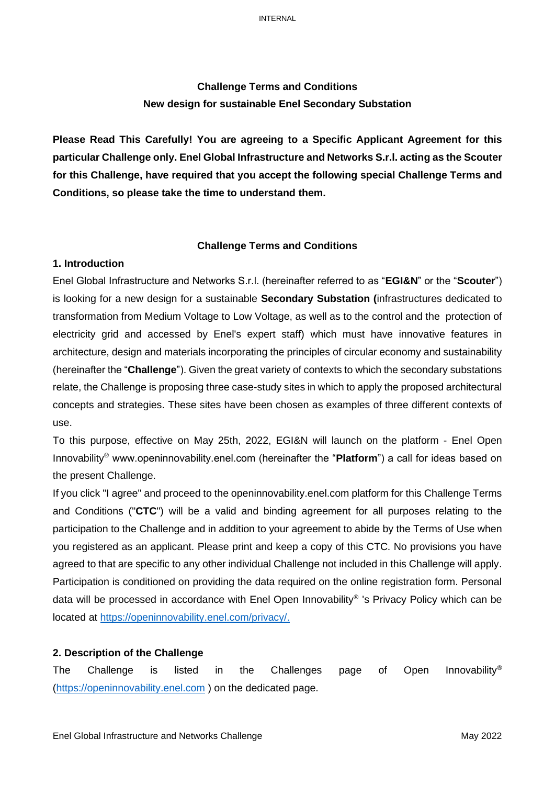# **Challenge Terms and Conditions New design for sustainable Enel Secondary Substation**

**Please Read This Carefully! You are agreeing to a Specific Applicant Agreement for this particular Challenge only. Enel Global Infrastructure and Networks S.r.l. acting as the Scouter for this Challenge, have required that you accept the following special Challenge Terms and Conditions, so please take the time to understand them.**

#### **Challenge Terms and Conditions**

# **1. Introduction**

Enel Global Infrastructure and Networks S.r.l. (hereinafter referred to as "**EGI&N**" or the "**Scouter**") is looking for a new design for a sustainable **Secondary Substation (**infrastructures dedicated to transformation from Medium Voltage to Low Voltage, as well as to the control and the protection of electricity grid and accessed by Enel's expert staff) which must have innovative features in architecture, design and materials incorporating the principles of circular economy and sustainability (hereinafter the "**Challenge**"). Given the great variety of contexts to which the secondary substations relate, the Challenge is proposing three case-study sites in which to apply the proposed architectural concepts and strategies. These sites have been chosen as examples of three different contexts of use.

To this purpose, effective on May 25th, 2022, EGI&N will launch on the platform - Enel Open Innovability® www.openinnovability.enel.com (hereinafter the "**Platform**") a call for ideas based on the present Challenge.

If you click "I agree" and proceed to the openinnovability.enel.com platform for this Challenge Terms and Conditions ("**CTC**") will be a valid and binding agreement for all purposes relating to the participation to the Challenge and in addition to your agreement to abide by the Terms of Use when you registered as an applicant. Please print and keep a copy of this CTC. No provisions you have agreed to that are specific to any other individual Challenge not included in this Challenge will apply. Participation is conditioned on providing the data required on the online registration form. Personal data will be processed in accordance with Enel Open Innovability® 's Privacy Policy which can be located at [https://openinnovability.enel.com/privacy/.](https://openinnovability.enel.com/privacy/)

#### **2. Description of the Challenge**

The Challenge is listed in the Challenges page of Open Innovability® [\(https://openinnovability.enel.com](https://openinnovability.enel.com/) ) on the dedicated page.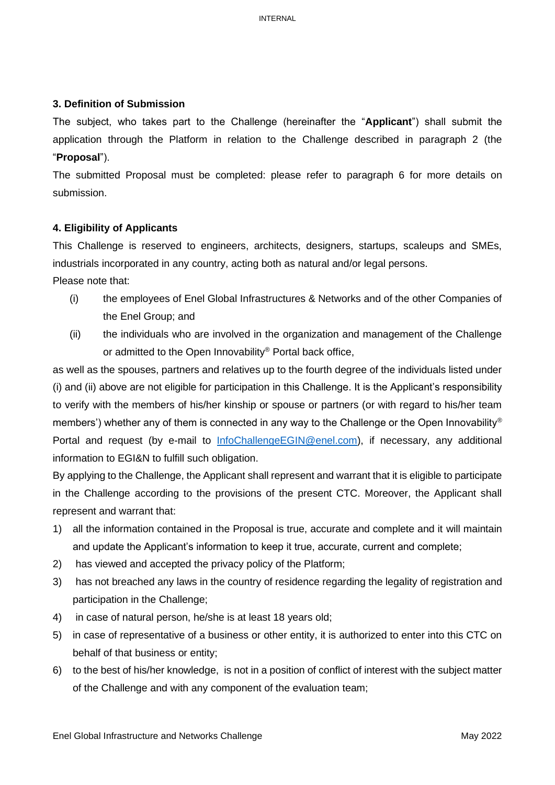# **3. Definition of Submission**

The subject, who takes part to the Challenge (hereinafter the "**Applicant**") shall submit the application through the Platform in relation to the Challenge described in paragraph 2 (the "**Proposal**").

The submitted Proposal must be completed: please refer to paragraph 6 for more details on submission.

### **4. Eligibility of Applicants**

This Challenge is reserved to engineers, architects, designers, startups, scaleups and SMEs, industrials incorporated in any country, acting both as natural and/or legal persons. Please note that:

- (i) the employees of Enel Global Infrastructures & Networks and of the other Companies of the Enel Group; and
- (ii) the individuals who are involved in the organization and management of the Challenge or admitted to the Open Innovability® Portal back office,

as well as the spouses, partners and relatives up to the fourth degree of the individuals listed under (i) and (ii) above are not eligible for participation in this Challenge. It is the Applicant's responsibility to verify with the members of his/her kinship or spouse or partners (or with regard to his/her team members') whether any of them is connected in any way to the Challenge or the Open Innovability® Portal and request (by e-mail to [InfoChallengeEGIN@enel.com\)](mailto:InfoChallengeEGIN@enel.com), if necessary, any additional information to EGI&N to fulfill such obligation.

By applying to the Challenge, the Applicant shall represent and warrant that it is eligible to participate in the Challenge according to the provisions of the present CTC. Moreover, the Applicant shall represent and warrant that:

- 1) all the information contained in the Proposal is true, accurate and complete and it will maintain and update the Applicant's information to keep it true, accurate, current and complete;
- 2) has viewed and accepted the privacy policy of the Platform;
- 3) has not breached any laws in the country of residence regarding the legality of registration and participation in the Challenge;
- 4) in case of natural person, he/she is at least 18 years old;
- 5) in case of representative of a business or other entity, it is authorized to enter into this CTC on behalf of that business or entity;
- 6) to the best of his/her knowledge, is not in a position of conflict of interest with the subject matter of the Challenge and with any component of the evaluation team;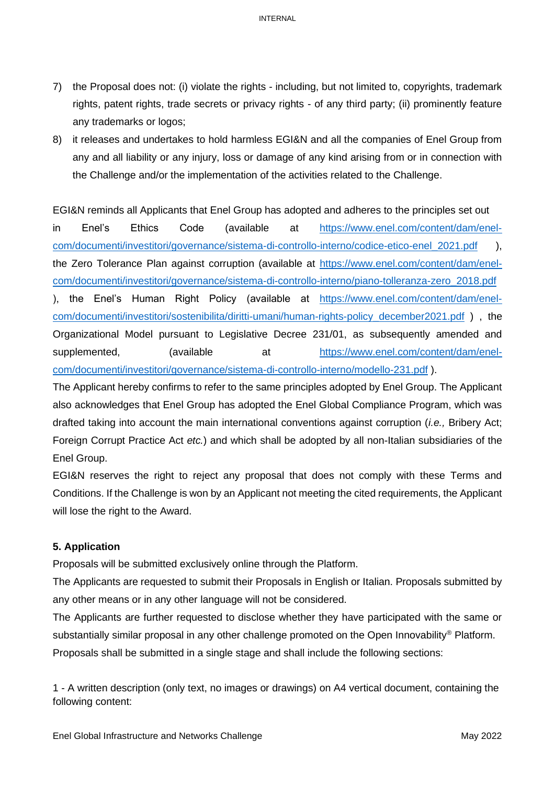- 7) the Proposal does not: (i) violate the rights including, but not limited to, copyrights, trademark rights, patent rights, trade secrets or privacy rights - of any third party; (ii) prominently feature any trademarks or logos;
- 8) it releases and undertakes to hold harmless EGI&N and all the companies of Enel Group from any and all liability or any injury, loss or damage of any kind arising from or in connection with the Challenge and/or the implementation of the activities related to the Challenge.

EGI&N reminds all Applicants that Enel Group has adopted and adheres to the principles set out in Enel's Ethics Code (available at [https://www.enel.com/content/dam/enel](https://www.enel.com/content/dam/enel-com/documenti/investitori/governance/sistema-di-controllo-interno/codice-etico-enel_2021.pdf)[com/documenti/investitori/governance/sistema-di-controllo-interno/codice-etico-enel\\_2021.pdf](https://www.enel.com/content/dam/enel-com/documenti/investitori/governance/sistema-di-controllo-interno/codice-etico-enel_2021.pdf) ), the Zero Tolerance Plan against corruption (available at [https://www.enel.com/content/dam/enel](https://www.enel.com/content/dam/enel-com/documenti/investitori/governance/sistema-di-controllo-interno/piano-tolleranza-zero_2018.pdf)[com/documenti/investitori/governance/sistema-di-controllo-interno/piano-tolleranza-zero\\_2018.pdf](https://www.enel.com/content/dam/enel-com/documenti/investitori/governance/sistema-di-controllo-interno/piano-tolleranza-zero_2018.pdf) ), the Enel's Human Right Policy (available at [https://www.enel.com/content/dam/enel](https://www.enel.com/content/dam/enel-com/documenti/investitori/sostenibilita/diritti-umani/human-rights-policy_december2021.pdf)[com/documenti/investitori/sostenibilita/diritti-umani/human-rights-policy\\_december2021.pdf](https://www.enel.com/content/dam/enel-com/documenti/investitori/sostenibilita/diritti-umani/human-rights-policy_december2021.pdf) ) , the Organizational Model pursuant to Legislative Decree 231/01, as subsequently amended and supplemented, (available at [https://www.enel.com/content/dam/enel](https://www.enel.com/content/dam/enel-com/documenti/investitori/governance/sistema-di-controllo-interno/modello-231.pdf)[com/documenti/investitori/governance/sistema-di-controllo-interno/modello-231.pdf](https://www.enel.com/content/dam/enel-com/documenti/investitori/governance/sistema-di-controllo-interno/modello-231.pdf) ).

The Applicant hereby confirms to refer to the same principles adopted by Enel Group. The Applicant also acknowledges that Enel Group has adopted the Enel Global Compliance Program, which was drafted taking into account the main international conventions against corruption (*i.e.,* Bribery Act; Foreign Corrupt Practice Act *etc.*) and which shall be adopted by all non-Italian subsidiaries of the Enel Group.

EGI&N reserves the right to reject any proposal that does not comply with these Terms and Conditions. If the Challenge is won by an Applicant not meeting the cited requirements, the Applicant will lose the right to the Award.

#### **5. Application**

Proposals will be submitted exclusively online through the Platform.

The Applicants are requested to submit their Proposals in English or Italian. Proposals submitted by any other means or in any other language will not be considered.

The Applicants are further requested to disclose whether they have participated with the same or substantially similar proposal in any other challenge promoted on the Open Innovability® Platform. Proposals shall be submitted in a single stage and shall include the following sections:

1 - A written description (only text, no images or drawings) on A4 vertical document, containing the following content: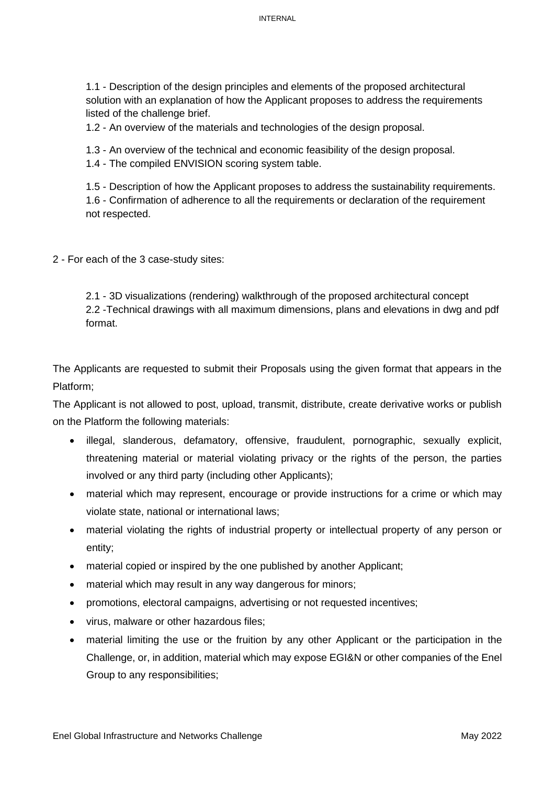1.1 - Description of the design principles and elements of the proposed architectural solution with an explanation of how the Applicant proposes to address the requirements listed of the challenge brief.

1.2 - An overview of the materials and technologies of the design proposal.

1.3 - An overview of the technical and economic feasibility of the design proposal.

1.4 - The compiled ENVISION scoring system table.

1.5 - Description of how the Applicant proposes to address the sustainability requirements. 1.6 - Confirmation of adherence to all the requirements or declaration of the requirement not respected.

2 - For each of the 3 case-study sites:

2.1 - 3D visualizations (rendering) walkthrough of the proposed architectural concept 2.2 -Technical drawings with all maximum dimensions, plans and elevations in dwg and pdf format.

The Applicants are requested to submit their Proposals using the given format that appears in the Platform;

The Applicant is not allowed to post, upload, transmit, distribute, create derivative works or publish on the Platform the following materials:

- illegal, slanderous, defamatory, offensive, fraudulent, pornographic, sexually explicit, threatening material or material violating privacy or the rights of the person, the parties involved or any third party (including other Applicants);
- material which may represent, encourage or provide instructions for a crime or which may violate state, national or international laws;
- material violating the rights of industrial property or intellectual property of any person or entity;
- material copied or inspired by the one published by another Applicant;
- material which may result in any way dangerous for minors;
- promotions, electoral campaigns, advertising or not requested incentives;
- virus, malware or other hazardous files;
- material limiting the use or the fruition by any other Applicant or the participation in the Challenge, or, in addition, material which may expose EGI&N or other companies of the Enel Group to any responsibilities;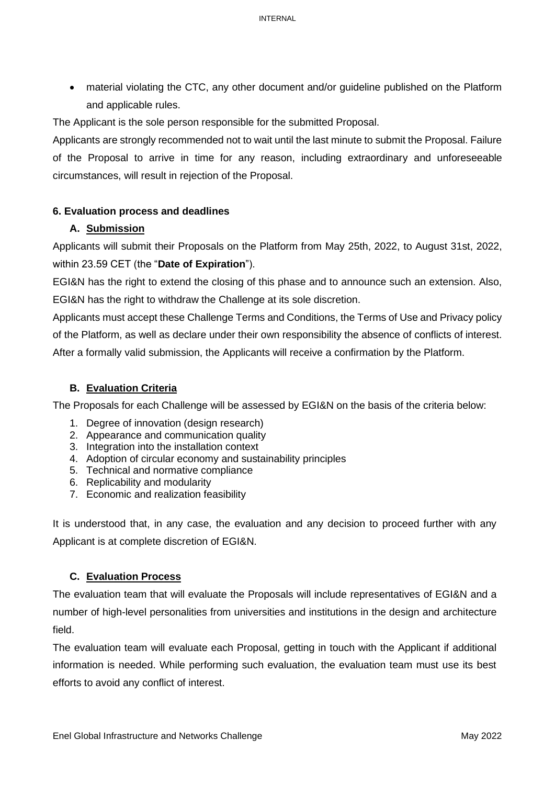• material violating the CTC, any other document and/or guideline published on the Platform and applicable rules.

The Applicant is the sole person responsible for the submitted Proposal.

Applicants are strongly recommended not to wait until the last minute to submit the Proposal. Failure of the Proposal to arrive in time for any reason, including extraordinary and unforeseeable circumstances, will result in rejection of the Proposal.

# **6. Evaluation process and deadlines**

# **A. Submission**

Applicants will submit their Proposals on the Platform from May 25th, 2022, to August 31st, 2022, within 23.59 CET (the "**Date of Expiration**").

EGI&N has the right to extend the closing of this phase and to announce such an extension. Also, EGI&N has the right to withdraw the Challenge at its sole discretion.

Applicants must accept these Challenge Terms and Conditions, the Terms of Use and Privacy policy of the Platform, as well as declare under their own responsibility the absence of conflicts of interest. After a formally valid submission, the Applicants will receive a confirmation by the Platform.

# **B. Evaluation Criteria**

The Proposals for each Challenge will be assessed by EGI&N on the basis of the criteria below:

- 1. Degree of innovation (design research)
- 2. Appearance and communication quality
- 3. Integration into the installation context
- 4. Adoption of circular economy and sustainability principles
- 5. Technical and normative compliance
- 6. Replicability and modularity
- 7. Economic and realization feasibility

It is understood that, in any case, the evaluation and any decision to proceed further with any Applicant is at complete discretion of EGI&N.

# **C. Evaluation Process**

The evaluation team that will evaluate the Proposals will include representatives of EGI&N and a number of high-level personalities from universities and institutions in the design and architecture field.

The evaluation team will evaluate each Proposal, getting in touch with the Applicant if additional information is needed. While performing such evaluation, the evaluation team must use its best efforts to avoid any conflict of interest.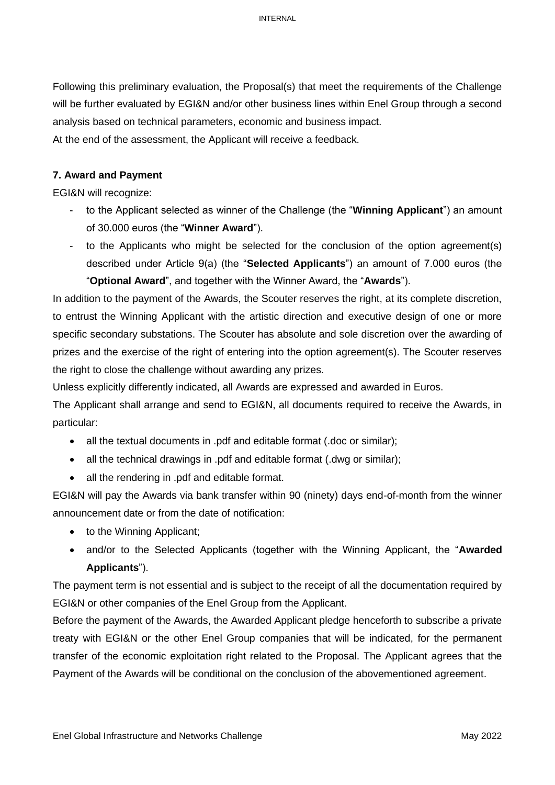Following this preliminary evaluation, the Proposal(s) that meet the requirements of the Challenge will be further evaluated by EGI&N and/or other business lines within Enel Group through a second analysis based on technical parameters, economic and business impact.

At the end of the assessment, the Applicant will receive a feedback.

# **7. Award and Payment**

EGI&N will recognize:

- to the Applicant selected as winner of the Challenge (the "Winning Applicant") an amount of 30.000 euros (the "**Winner Award**").
- to the Applicants who might be selected for the conclusion of the option agreement(s) described under Article 9(a) (the "**Selected Applicants**") an amount of 7.000 euros (the "**Optional Award**", and together with the Winner Award, the "**Awards**").

In addition to the payment of the Awards, the Scouter reserves the right, at its complete discretion, to entrust the Winning Applicant with the artistic direction and executive design of one or more specific secondary substations. The Scouter has absolute and sole discretion over the awarding of prizes and the exercise of the right of entering into the option agreement(s). The Scouter reserves the right to close the challenge without awarding any prizes.

Unless explicitly differently indicated, all Awards are expressed and awarded in Euros.

The Applicant shall arrange and send to EGI&N, all documents required to receive the Awards, in particular:

- all the textual documents in .pdf and editable format (.doc or similar);
- all the technical drawings in .pdf and editable format (.dwg or similar);
- all the rendering in .pdf and editable format.

EGI&N will pay the Awards via bank transfer within 90 (ninety) days end-of-month from the winner announcement date or from the date of notification:

- to the Winning Applicant;
- and/or to the Selected Applicants (together with the Winning Applicant, the "**Awarded Applicants**").

The payment term is not essential and is subject to the receipt of all the documentation required by EGI&N or other companies of the Enel Group from the Applicant.

Before the payment of the Awards, the Awarded Applicant pledge henceforth to subscribe a private treaty with EGI&N or the other Enel Group companies that will be indicated, for the permanent transfer of the economic exploitation right related to the Proposal. The Applicant agrees that the Payment of the Awards will be conditional on the conclusion of the abovementioned agreement.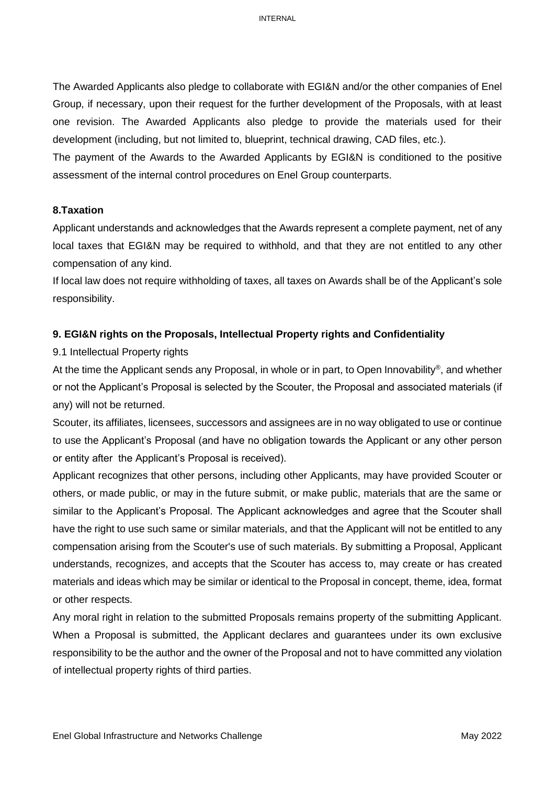The Awarded Applicants also pledge to collaborate with EGI&N and/or the other companies of Enel Group, if necessary, upon their request for the further development of the Proposals, with at least one revision. The Awarded Applicants also pledge to provide the materials used for their development (including, but not limited to, blueprint, technical drawing, CAD files, etc.).

The payment of the Awards to the Awarded Applicants by EGI&N is conditioned to the positive assessment of the internal control procedures on Enel Group counterparts.

#### **8.Taxation**

Applicant understands and acknowledges that the Awards represent a complete payment, net of any local taxes that EGI&N may be required to withhold, and that they are not entitled to any other compensation of any kind.

If local law does not require withholding of taxes, all taxes on Awards shall be of the Applicant's sole responsibility.

#### **9. EGI&N rights on the Proposals, Intellectual Property rights and Confidentiality**

9.1 Intellectual Property rights

At the time the Applicant sends any Proposal, in whole or in part, to Open Innovability® , and whether or not the Applicant's Proposal is selected by the Scouter, the Proposal and associated materials (if any) will not be returned.

Scouter, its affiliates, licensees, successors and assignees are in no way obligated to use or continue to use the Applicant's Proposal (and have no obligation towards the Applicant or any other person or entity after the Applicant's Proposal is received).

Applicant recognizes that other persons, including other Applicants, may have provided Scouter or others, or made public, or may in the future submit, or make public, materials that are the same or similar to the Applicant's Proposal. The Applicant acknowledges and agree that the Scouter shall have the right to use such same or similar materials, and that the Applicant will not be entitled to any compensation arising from the Scouter's use of such materials. By submitting a Proposal, Applicant understands, recognizes, and accepts that the Scouter has access to, may create or has created materials and ideas which may be similar or identical to the Proposal in concept, theme, idea, format or other respects.

Any moral right in relation to the submitted Proposals remains property of the submitting Applicant. When a Proposal is submitted, the Applicant declares and guarantees under its own exclusive responsibility to be the author and the owner of the Proposal and not to have committed any violation of intellectual property rights of third parties.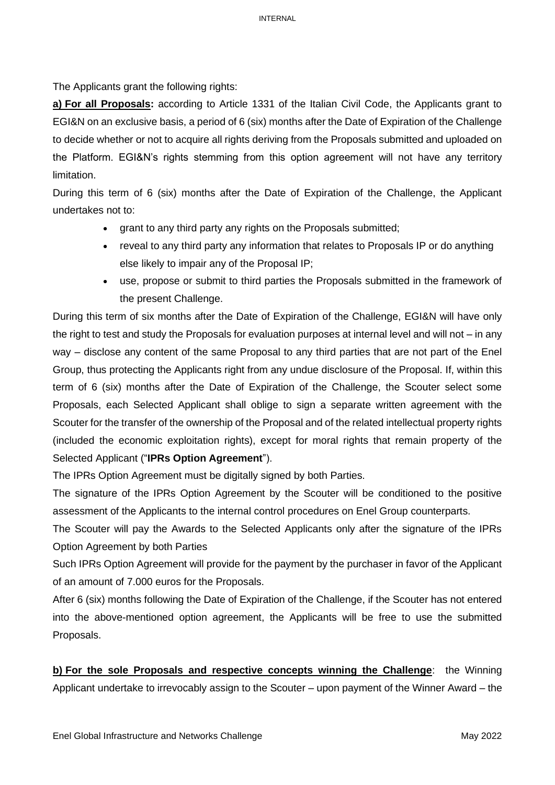The Applicants grant the following rights:

**a) For all Proposals:** according to Article 1331 of the Italian Civil Code, the Applicants grant to EGI&N on an exclusive basis, a period of 6 (six) months after the Date of Expiration of the Challenge to decide whether or not to acquire all rights deriving from the Proposals submitted and uploaded on the Platform. EGI&N's rights stemming from this option agreement will not have any territory limitation.

During this term of 6 (six) months after the Date of Expiration of the Challenge, the Applicant undertakes not to:

- grant to any third party any rights on the Proposals submitted;
- reveal to any third party any information that relates to Proposals IP or do anything else likely to impair any of the Proposal IP;
- use, propose or submit to third parties the Proposals submitted in the framework of the present Challenge.

During this term of six months after the Date of Expiration of the Challenge, EGI&N will have only the right to test and study the Proposals for evaluation purposes at internal level and will not – in any way – disclose any content of the same Proposal to any third parties that are not part of the Enel Group, thus protecting the Applicants right from any undue disclosure of the Proposal. If, within this term of 6 (six) months after the Date of Expiration of the Challenge, the Scouter select some Proposals, each Selected Applicant shall oblige to sign a separate written agreement with the Scouter for the transfer of the ownership of the Proposal and of the related intellectual property rights (included the economic exploitation rights), except for moral rights that remain property of the Selected Applicant ("**IPRs Option Agreement**").

The IPRs Option Agreement must be digitally signed by both Parties.

The signature of the IPRs Option Agreement by the Scouter will be conditioned to the positive assessment of the Applicants to the internal control procedures on Enel Group counterparts.

The Scouter will pay the Awards to the Selected Applicants only after the signature of the IPRs Option Agreement by both Parties

Such IPRs Option Agreement will provide for the payment by the purchaser in favor of the Applicant of an amount of 7.000 euros for the Proposals.

After 6 (six) months following the Date of Expiration of the Challenge, if the Scouter has not entered into the above-mentioned option agreement, the Applicants will be free to use the submitted Proposals.

**b) For the sole Proposals and respective concepts winning the Challenge**: the Winning Applicant undertake to irrevocably assign to the Scouter – upon payment of the Winner Award – the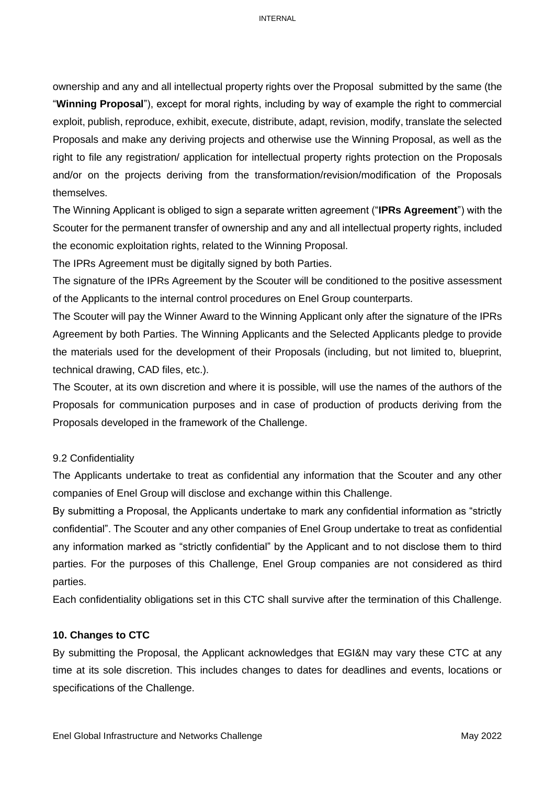ownership and any and all intellectual property rights over the Proposal submitted by the same (the "**Winning Proposal**"), except for moral rights, including by way of example the right to commercial exploit, publish, reproduce, exhibit, execute, distribute, adapt, revision, modify, translate the selected Proposals and make any deriving projects and otherwise use the Winning Proposal, as well as the right to file any registration/ application for intellectual property rights protection on the Proposals and/or on the projects deriving from the transformation/revision/modification of the Proposals themselves.

The Winning Applicant is obliged to sign a separate written agreement ("**IPRs Agreement**") with the Scouter for the permanent transfer of ownership and any and all intellectual property rights, included the economic exploitation rights, related to the Winning Proposal.

The IPRs Agreement must be digitally signed by both Parties.

The signature of the IPRs Agreement by the Scouter will be conditioned to the positive assessment of the Applicants to the internal control procedures on Enel Group counterparts.

The Scouter will pay the Winner Award to the Winning Applicant only after the signature of the IPRs Agreement by both Parties. The Winning Applicants and the Selected Applicants pledge to provide the materials used for the development of their Proposals (including, but not limited to, blueprint, technical drawing, CAD files, etc.).

The Scouter, at its own discretion and where it is possible, will use the names of the authors of the Proposals for communication purposes and in case of production of products deriving from the Proposals developed in the framework of the Challenge.

#### 9.2 Confidentiality

The Applicants undertake to treat as confidential any information that the Scouter and any other companies of Enel Group will disclose and exchange within this Challenge.

By submitting a Proposal, the Applicants undertake to mark any confidential information as "strictly confidential". The Scouter and any other companies of Enel Group undertake to treat as confidential any information marked as "strictly confidential" by the Applicant and to not disclose them to third parties. For the purposes of this Challenge, Enel Group companies are not considered as third parties.

Each confidentiality obligations set in this CTC shall survive after the termination of this Challenge.

# **10. Changes to CTC**

By submitting the Proposal, the Applicant acknowledges that EGI&N may vary these CTC at any time at its sole discretion. This includes changes to dates for deadlines and events, locations or specifications of the Challenge.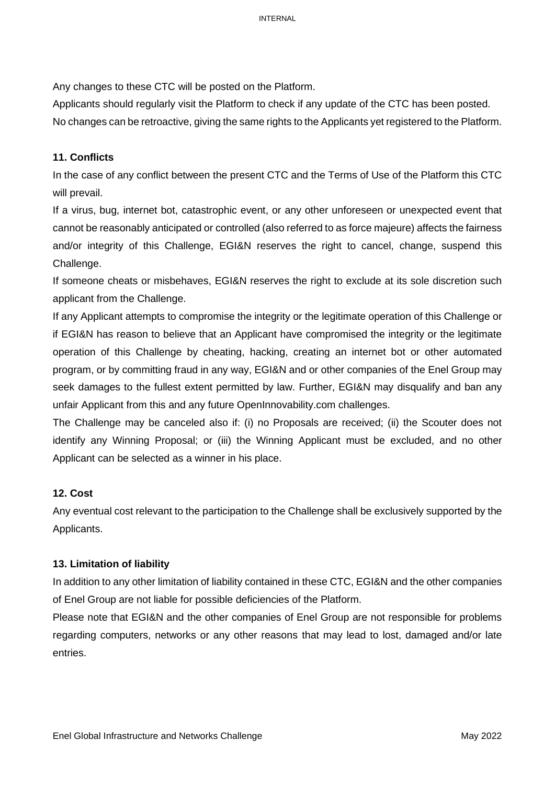Any changes to these CTC will be posted on the Platform.

Applicants should regularly visit the Platform to check if any update of the CTC has been posted. No changes can be retroactive, giving the same rights to the Applicants yet registered to the Platform.

# **11. Conflicts**

In the case of any conflict between the present CTC and the Terms of Use of the Platform this CTC will prevail.

If a virus, bug, internet bot, catastrophic event, or any other unforeseen or unexpected event that cannot be reasonably anticipated or controlled (also referred to as force majeure) affects the fairness and/or integrity of this Challenge, EGI&N reserves the right to cancel, change, suspend this Challenge.

If someone cheats or misbehaves, EGI&N reserves the right to exclude at its sole discretion such applicant from the Challenge.

If any Applicant attempts to compromise the integrity or the legitimate operation of this Challenge or if EGI&N has reason to believe that an Applicant have compromised the integrity or the legitimate operation of this Challenge by cheating, hacking, creating an internet bot or other automated program, or by committing fraud in any way, EGI&N and or other companies of the Enel Group may seek damages to the fullest extent permitted by law. Further, EGI&N may disqualify and ban any unfair Applicant from this and any future OpenInnovability.com challenges.

The Challenge may be canceled also if: (i) no Proposals are received; (ii) the Scouter does not identify any Winning Proposal; or (iii) the Winning Applicant must be excluded, and no other Applicant can be selected as a winner in his place.

# **12. Cost**

Any eventual cost relevant to the participation to the Challenge shall be exclusively supported by the Applicants.

# **13. Limitation of liability**

In addition to any other limitation of liability contained in these CTC, EGI&N and the other companies of Enel Group are not liable for possible deficiencies of the Platform.

Please note that EGI&N and the other companies of Enel Group are not responsible for problems regarding computers, networks or any other reasons that may lead to lost, damaged and/or late entries.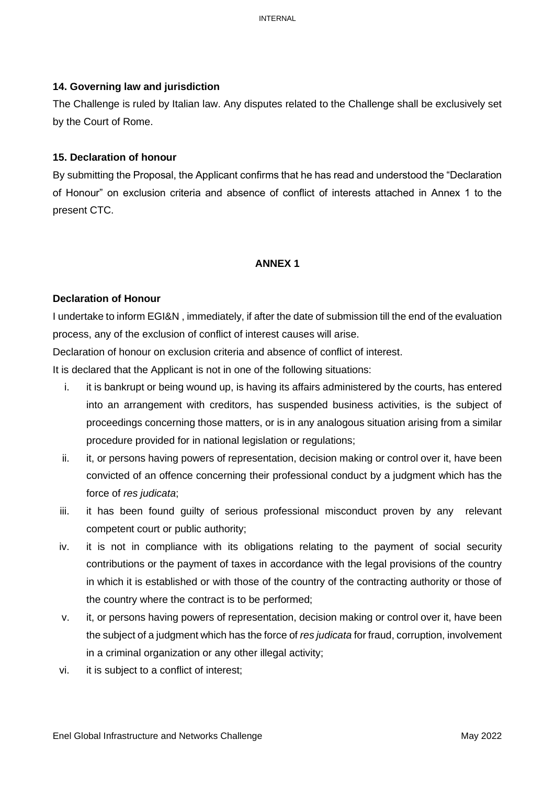### **14. Governing law and jurisdiction**

The Challenge is ruled by Italian law. Any disputes related to the Challenge shall be exclusively set by the Court of Rome.

### **15. Declaration of honour**

By submitting the Proposal, the Applicant confirms that he has read and understood the "Declaration of Honour" on exclusion criteria and absence of conflict of interests attached in Annex 1 to the present CTC.

### **ANNEX 1**

### **Declaration of Honour**

I undertake to inform EGI&N , immediately, if after the date of submission till the end of the evaluation process, any of the exclusion of conflict of interest causes will arise.

Declaration of honour on exclusion criteria and absence of conflict of interest.

It is declared that the Applicant is not in one of the following situations:

- i. it is bankrupt or being wound up, is having its affairs administered by the courts, has entered into an arrangement with creditors, has suspended business activities, is the subject of proceedings concerning those matters, or is in any analogous situation arising from a similar procedure provided for in national legislation or regulations;
- ii. it, or persons having powers of representation, decision making or control over it, have been convicted of an offence concerning their professional conduct by a judgment which has the force of *res judicata*;
- iii. it has been found guilty of serious professional misconduct proven by any relevant competent court or public authority;
- iv. it is not in compliance with its obligations relating to the payment of social security contributions or the payment of taxes in accordance with the legal provisions of the country in which it is established or with those of the country of the contracting authority or those of the country where the contract is to be performed;
- v. it, or persons having powers of representation, decision making or control over it, have been the subject of a judgment which has the force of *res judicata* for fraud, corruption, involvement in a criminal organization or any other illegal activity;
- vi. it is subject to a conflict of interest;